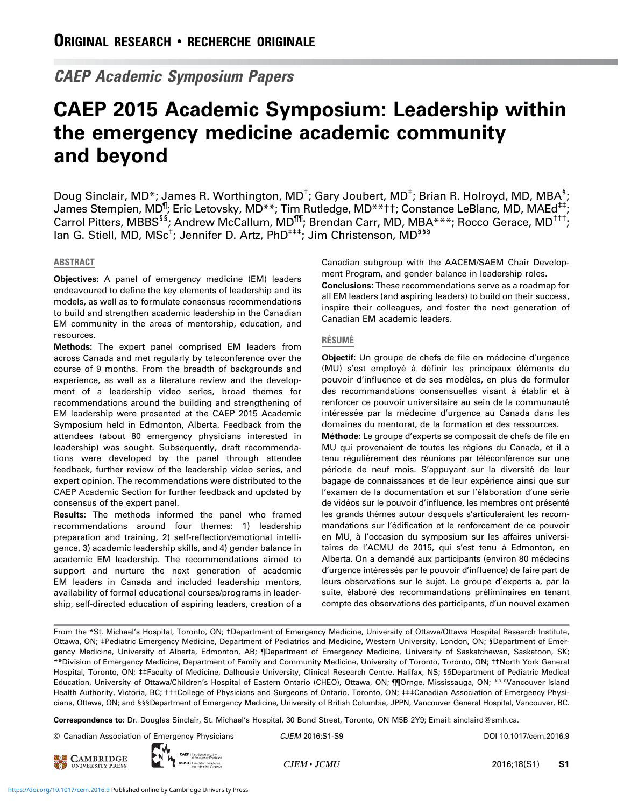# CAEP Academic Symposium Papers

# CAEP 2015 Academic Symposium: Leadership within the emergency medicine academic community and beyond

Doug Sinclair, MD\*; James R. Worthington, MD<sup>†</sup>; Gary Joubert, MD<sup>‡</sup>; Brian R. Holroyd, MD, MBA<sup>§</sup>; James Stempien, MD¶ ; Eric Letovsky, MD\*\*; Tim Rutledge, MD\*\*††; Constance LeBlanc, MD, MAEd‡‡; Carrol Pitters, MBBS<sup>§§</sup>; Andrew McCallum, MD<sup>¶¶</sup>; Brendan Carr, MD, MBA\*\*\*; Rocco Gerace, MD<sup>†++</sup>; lan G. Stiell, MD, MSc<sup>†</sup>; Jennifer D. Artz, PhD<sup>‡‡‡</sup>; Jim Christenson, MD<sup>§§§</sup>

#### ABSTRACT

Objectives: A panel of emergency medicine (EM) leaders endeavoured to define the key elements of leadership and its models, as well as to formulate consensus recommendations to build and strengthen academic leadership in the Canadian EM community in the areas of mentorship, education, and resources.

Methods: The expert panel comprised EM leaders from across Canada and met regularly by teleconference over the course of 9 months. From the breadth of backgrounds and experience, as well as a literature review and the development of a leadership video series, broad themes for recommendations around the building and strengthening of EM leadership were presented at the CAEP 2015 Academic Symposium held in Edmonton, Alberta. Feedback from the attendees (about 80 emergency physicians interested in leadership) was sought. Subsequently, draft recommendations were developed by the panel through attendee feedback, further review of the leadership video series, and expert opinion. The recommendations were distributed to the CAEP Academic Section for further feedback and updated by consensus of the expert panel.

Results: The methods informed the panel who framed recommendations around four themes: 1) leadership preparation and training, 2) self-reflection/emotional intelligence, 3) academic leadership skills, and 4) gender balance in academic EM leadership. The recommendations aimed to support and nurture the next generation of academic EM leaders in Canada and included leadership mentors, availability of formal educational courses/programs in leadership, self-directed education of aspiring leaders, creation of a

Canadian subgroup with the AACEM/SAEM Chair Development Program, and gender balance in leadership roles.

Conclusions: These recommendations serve as a roadmap for all EM leaders (and aspiring leaders) to build on their success, inspire their colleagues, and foster the next generation of Canadian EM academic leaders.

#### RÉSUMÉ

Objectif: Un groupe de chefs de file en médecine d'urgence (MU) s'est employé à définir les principaux éléments du pouvoir d'influence et de ses modèles, en plus de formuler des recommandations consensuelles visant à établir et à renforcer ce pouvoir universitaire au sein de la communauté intéressée par la médecine d'urgence au Canada dans les domaines du mentorat, de la formation et des ressources.

Méthode: Le groupe d'experts se composait de chefs de file en MU qui provenaient de toutes les régions du Canada, et il a tenu régulièrement des réunions par téléconférence sur une période de neuf mois. S'appuyant sur la diversité de leur bagage de connaissances et de leur expérience ainsi que sur l'examen de la documentation et sur l'élaboration d'une série de vidéos sur le pouvoir d'influence, les membres ont présenté les grands thèmes autour desquels s'articuleraient les recommandations sur l'édification et le renforcement de ce pouvoir en MU, à l'occasion du symposium sur les affaires universitaires de l'ACMU de 2015, qui s'est tenu à Edmonton, en Alberta. On a demandé aux participants (environ 80 médecins d'urgence intéressés par le pouvoir d'influence) de faire part de leurs observations sur le sujet. Le groupe d'experts a, par la suite, élaboré des recommandations préliminaires en tenant compte des observations des participants, d'un nouvel examen

From the \*St. Michael's Hospital, Toronto, ON; †Department of Emergency Medicine, University of Ottawa/Ottawa Hospital Research Institute, Ottawa, ON; ‡Pediatric Emergency Medicine, Department of Pediatrics and Medicine, Western University, London, ON; §Department of Emergency Medicine, University of Alberta, Edmonton, AB; ¶Department of Emergency Medicine, University of Saskatchewan, Saskatoon, SK; \*\*Division of Emergency Medicine, Department of Family and Community Medicine, University of Toronto, Toronto, ON; ††North York General Hospital, Toronto, ON; ‡‡Faculty of Medicine, Dalhousie University, Clinical Research Centre, Halifax, NS; §§Department of Pediatric Medical Education, University of Ottawa/Children's Hospital of Eastern Ontario (CHEO), Ottawa, ON; ¶¶Ornge, Mississauga, ON; \*\*\*Vancouver Island Health Authority, Victoria, BC; †††College of Physicians and Surgeons of Ontario, Toronto, ON; ‡‡‡Canadian Association of Emergency Physicians, Ottawa, ON; and §§§Department of Emergency Medicine, University of British Columbia, JPPN, Vancouver General Hospital, Vancouver, BC.

Correspondence to: Dr. Douglas Sinclair, St. Michael's Hospital, 30 Bond Street, Toronto, ON M5B 2Y9; Email: sinclaird@smh.ca.

© Canadian Association of Emergency Physicians CJEM 2016:S1-S9 DOI 10.1017/cem.2016.9

**EXECUTE CAMBRIDGE** 

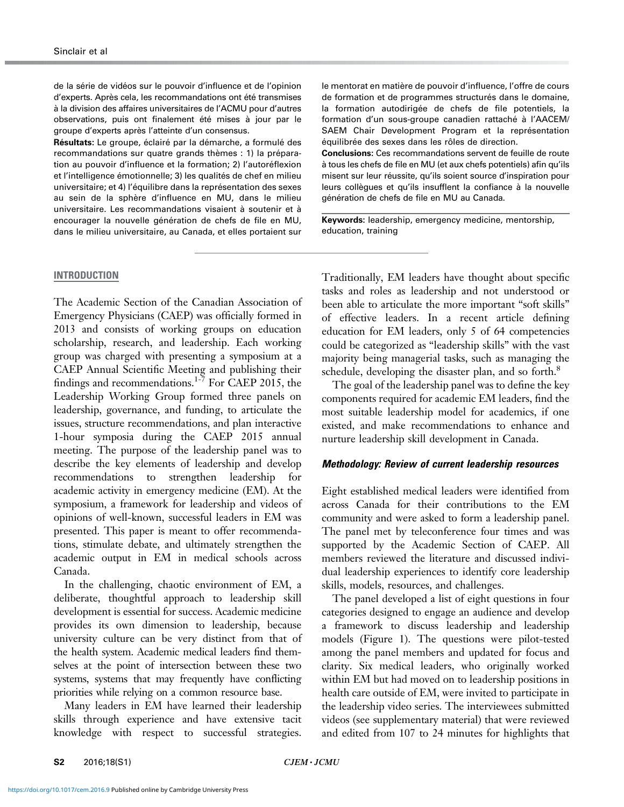de la série de vidéos sur le pouvoir d'influence et de l'opinion d'experts. Après cela, les recommandations ont été transmises à la division des affaires universitaires de l'ACMU pour d'autres observations, puis ont finalement été mises à jour par le groupe d'experts après l'atteinte d'un consensus.

Résultats: Le groupe, éclairé par la démarche, a formulé des recommandations sur quatre grands thèmes : 1) la préparation au pouvoir d'influence et la formation; 2) l'autoréflexion et l'intelligence émotionnelle; 3) les qualités de chef en milieu universitaire; et 4) l'équilibre dans la représentation des sexes au sein de la sphère d'influence en MU, dans le milieu universitaire. Les recommandations visaient à soutenir et à encourager la nouvelle génération de chefs de file en MU, dans le milieu universitaire, au Canada, et elles portaient sur le mentorat en matière de pouvoir d'influence, l'offre de cours de formation et de programmes structurés dans le domaine, la formation autodirigée de chefs de file potentiels, la formation d'un sous-groupe canadien rattaché à l'AACEM/ SAEM Chair Development Program et la représentation équilibrée des sexes dans les rôles de direction.

Conclusions: Ces recommandations servent de feuille de route à tous les chefs de file en MU (et aux chefs potentiels) afin qu'ils misent sur leur réussite, qu'ils soient source d'inspiration pour leurs collègues et qu'ils insufflent la confiance à la nouvelle génération de chefs de file en MU au Canada.

Keywords: leadership, emergency medicine, mentorship, education, training

#### INTRODUCTION

The Academic Section of the Canadian Association of Emergency Physicians (CAEP) was officially formed in 2013 and consists of working groups on education scholarship, research, and leadership. Each working group was charged with presenting a symposium at a CAEP Annual Scientific Meeting and publishing their findings and recommendations.<sup>[1-7](#page-7-0)</sup> For CAEP 2015, the Leadership Working Group formed three panels on leadership, governance, and funding, to articulate the issues, structure recommendations, and plan interactive 1-hour symposia during the CAEP 2015 annual meeting. The purpose of the leadership panel was to describe the key elements of leadership and develop recommendations to strengthen leadership for academic activity in emergency medicine (EM). At the symposium, a framework for leadership and videos of opinions of well-known, successful leaders in EM was presented. This paper is meant to offer recommendations, stimulate debate, and ultimately strengthen the academic output in EM in medical schools across Canada.

In the challenging, chaotic environment of EM, a deliberate, thoughtful approach to leadership skill development is essential for success. Academic medicine provides its own dimension to leadership, because university culture can be very distinct from that of the health system. Academic medical leaders find themselves at the point of intersection between these two systems, systems that may frequently have conflicting priorities while relying on a common resource base.

Many leaders in EM have learned their leadership skills through experience and have extensive tacit knowledge with respect to successful strategies. Traditionally, EM leaders have thought about specific tasks and roles as leadership and not understood or been able to articulate the more important "soft skills" of effective leaders. In a recent article defining education for EM leaders, only 5 of 64 competencies could be categorized as "leadership skills" with the vast majority being managerial tasks, such as managing the schedule, developing the disaster plan, and so forth.<sup>[8](#page-7-0)</sup>

The goal of the leadership panel was to define the key components required for academic EM leaders, find the most suitable leadership model for academics, if one existed, and make recommendations to enhance and nurture leadership skill development in Canada.

### Methodology: Review of current leadership resources

Eight established medical leaders were identified from across Canada for their contributions to the EM community and were asked to form a leadership panel. The panel met by teleconference four times and was supported by the Academic Section of CAEP. All members reviewed the literature and discussed individual leadership experiences to identify core leadership skills, models, resources, and challenges.

The panel developed a list of eight questions in four categories designed to engage an audience and develop a framework to discuss leadership and leadership models ([Figure 1](#page-2-0)). The questions were pilot-tested among the panel members and updated for focus and clarity. Six medical leaders, who originally worked within EM but had moved on to leadership positions in health care outside of EM, were invited to participate in the leadership video series. The interviewees submitted videos (see supplementary material) that were reviewed and edited from 107 to 24 minutes for highlights that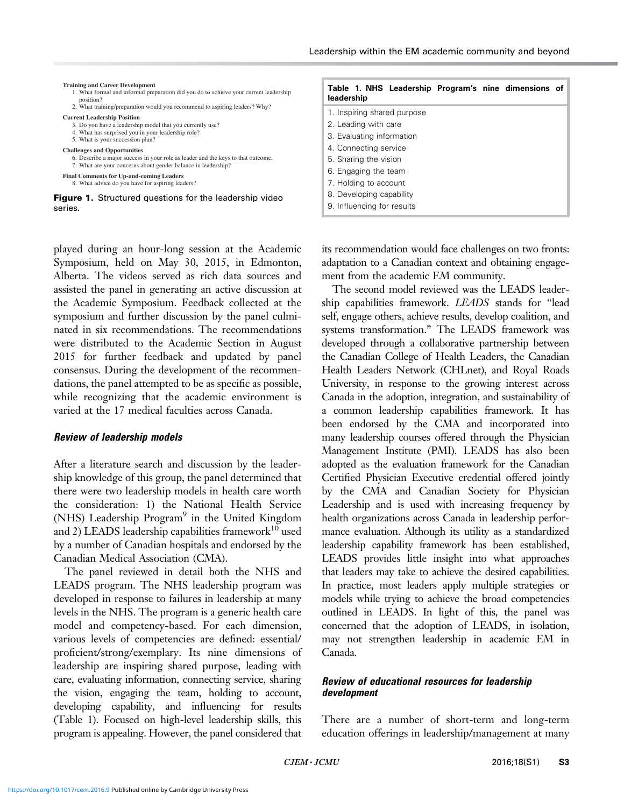<span id="page-2-0"></span>

| <b>Training and Career Development</b><br>1. What formal and informal preparation did you do to achieve your current leadership<br>position?                                                                                                                            |                              |
|-------------------------------------------------------------------------------------------------------------------------------------------------------------------------------------------------------------------------------------------------------------------------|------------------------------|
| 2. What training/preparation would you recommend to aspiring leaders? Why?<br><b>Current Leadership Position</b><br>3. Do you have a leadership model that you currently use?<br>4. What has surprised you in your leadership role?<br>5. What is your succession plan? | 1. Insp<br>2. Lea<br>3. Eval |
| <b>Challenges and Opportunities</b><br>6. Describe a major success in your role as leader and the keys to that outcome.<br>7. What are your concerns about gender balance in leadership?                                                                                | 4. Con<br>5. Sha<br>6. Eng   |
| <b>Final Comments for Up-and-coming Leaders</b><br>8. What advice do you have for aspiring leaders?                                                                                                                                                                     |                              |
| <b>Figure 1.</b> Structured questions for the leadership video<br>series.                                                                                                                                                                                               | 8. Dev<br>9. Influ           |

played during an hour-long session at the Academic Symposium, held on May 30, 2015, in Edmonton, Alberta. The videos served as rich data sources and assisted the panel in generating an active discussion at the Academic Symposium. Feedback collected at the symposium and further discussion by the panel culminated in six recommendations. The recommendations were distributed to the Academic Section in August 2015 for further feedback and updated by panel consensus. During the development of the recommendations, the panel attempted to be as specific as possible, while recognizing that the academic environment is varied at the 17 medical faculties across Canada.

#### Review of leadership models

After a literature search and discussion by the leadership knowledge of this group, the panel determined that there were two leadership models in health care worth the consideration: 1) the National Health Service (NHS) Leadership Program<sup>[9](#page-7-0)</sup> in the United Kingdom and 2) LEADS leadership capabilities framework $^{10}$  $^{10}$  $^{10}$  used by a number of Canadian hospitals and endorsed by the Canadian Medical Association (CMA).

The panel reviewed in detail both the NHS and LEADS program. The NHS leadership program was developed in response to failures in leadership at many levels in the NHS. The program is a generic health care model and competency-based. For each dimension, various levels of competencies are defined: essential/ proficient/strong/exemplary. Its nine dimensions of leadership are inspiring shared purpose, leading with care, evaluating information, connecting service, sharing the vision, engaging the team, holding to account, developing capability, and influencing for results (Table 1). Focused on high-level leadership skills, this program is appealing. However, the panel considered that

| Table 1. NHS Leadership Program's nine dimensions of<br>leadership |
|--------------------------------------------------------------------|
| 1. Inspiring shared purpose                                        |
| 2. Leading with care                                               |
| 3. Evaluating information                                          |
| 4. Connecting service                                              |
| 5. Sharing the vision                                              |
| 6. Engaging the team                                               |
| 7. Holding to account                                              |
| 8. Developing capability                                           |
| 9. Influencing for results                                         |

its recommendation would face challenges on two fronts: adaptation to a Canadian context and obtaining engagement from the academic EM community.

The second model reviewed was the LEADS leadership capabilities framework. LEADS stands for "lead self, engage others, achieve results, develop coalition, and systems transformation." The LEADS framework was developed through a collaborative partnership between the Canadian College of Health Leaders, the Canadian Health Leaders Network (CHLnet), and Royal Roads University, in response to the growing interest across Canada in the adoption, integration, and sustainability of a common leadership capabilities framework. It has been endorsed by the CMA and incorporated into many leadership courses offered through the Physician Management Institute (PMI). LEADS has also been adopted as the evaluation framework for the Canadian Certified Physician Executive credential offered jointly by the CMA and Canadian Society for Physician Leadership and is used with increasing frequency by health organizations across Canada in leadership performance evaluation. Although its utility as a standardized leadership capability framework has been established, LEADS provides little insight into what approaches that leaders may take to achieve the desired capabilities. In practice, most leaders apply multiple strategies or models while trying to achieve the broad competencies outlined in LEADS. In light of this, the panel was concerned that the adoption of LEADS, in isolation, may not strengthen leadership in academic EM in Canada.

# Review of educational resources for leadership development

There are a number of short-term and long-term education offerings in leadership/management at many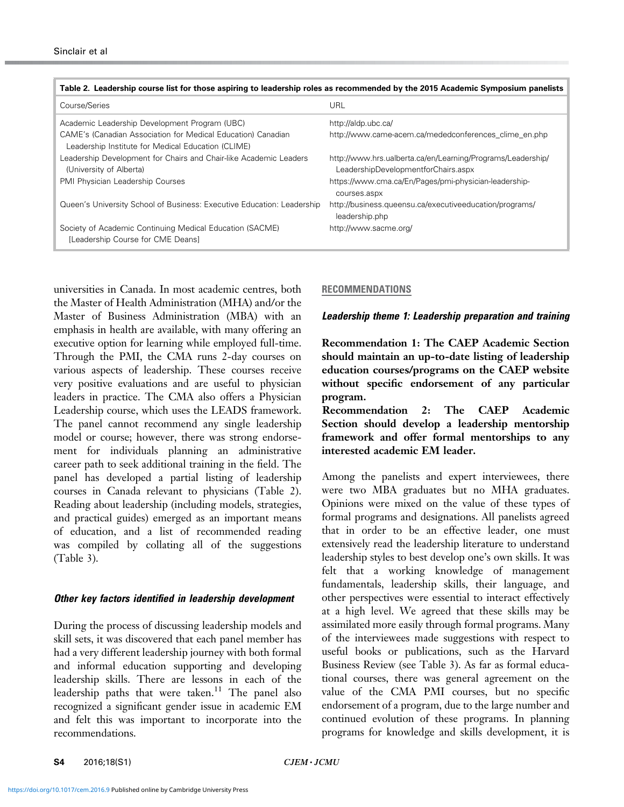| Table 2. Leadership course list for those aspiring to leadership roles as recommended by the 2015 Academic Symposium panelists |                                                                           |  |
|--------------------------------------------------------------------------------------------------------------------------------|---------------------------------------------------------------------------|--|
| Course/Series                                                                                                                  | URL                                                                       |  |
| Academic Leadership Development Program (UBC)                                                                                  | http://aldp.ubc.ca/                                                       |  |
| CAME's (Canadian Association for Medical Education) Canadian                                                                   | http://www.came-acem.ca/mededconferences clime en.php                     |  |
| Leadership Institute for Medical Education (CLIME)                                                                             |                                                                           |  |
| Leadership Development for Chairs and Chair-like Academic Leaders                                                              | http://www.hrs.ualberta.ca/en/Learning/Programs/Leadership/               |  |
| (University of Alberta)                                                                                                        | LeadershipDevelopmentforChairs.aspx                                       |  |
| <b>PMI Physician Leadership Courses</b>                                                                                        | https://www.cma.ca/En/Pages/pmi-physician-leadership-<br>courses.aspx     |  |
| Queen's University School of Business: Executive Education: Leadership                                                         | http://business.queensu.ca/executiveeducation/programs/<br>leadership.php |  |
| Society of Academic Continuing Medical Education (SACME)                                                                       | http://www.sacme.org/                                                     |  |
| [Leadership Course for CME Deans]                                                                                              |                                                                           |  |

universities in Canada. In most academic centres, both the Master of Health Administration (MHA) and/or the Master of Business Administration (MBA) with an emphasis in health are available, with many offering an executive option for learning while employed full-time. Through the PMI, the CMA runs 2-day courses on various aspects of leadership. These courses receive very positive evaluations and are useful to physician leaders in practice. The CMA also offers a Physician Leadership course, which uses the LEADS framework. The panel cannot recommend any single leadership model or course; however, there was strong endorsement for individuals planning an administrative career path to seek additional training in the field. The panel has developed a partial listing of leadership courses in Canada relevant to physicians (Table 2). Reading about leadership (including models, strategies, and practical guides) emerged as an important means of education, and a list of recommended reading was compiled by collating all of the suggestions [\(Table 3\)](#page-4-0).

#### Other key factors identified in leadership development

During the process of discussing leadership models and skill sets, it was discovered that each panel member has had a very different leadership journey with both formal and informal education supporting and developing leadership skills. There are lessons in each of the leadership paths that were taken.<sup>[11](#page-7-0)</sup> The panel also recognized a significant gender issue in academic EM and felt this was important to incorporate into the recommendations.

#### RECOMMENDATIONS

#### Leadership theme 1: Leadership preparation and training

Recommendation 1: The CAEP Academic Section should maintain an up-to-date listing of leadership education courses/programs on the CAEP website without specific endorsement of any particular program.

Recommendation 2: The CAEP Academic Section should develop a leadership mentorship framework and offer formal mentorships to any interested academic EM leader.

Among the panelists and expert interviewees, there were two MBA graduates but no MHA graduates. Opinions were mixed on the value of these types of formal programs and designations. All panelists agreed that in order to be an effective leader, one must extensively read the leadership literature to understand leadership styles to best develop one's own skills. It was felt that a working knowledge of management fundamentals, leadership skills, their language, and other perspectives were essential to interact effectively at a high level. We agreed that these skills may be assimilated more easily through formal programs. Many of the interviewees made suggestions with respect to useful books or publications, such as the Harvard Business Review (see [Table 3\)](#page-4-0). As far as formal educational courses, there was general agreement on the value of the CMA PMI courses, but no specific endorsement of a program, due to the large number and continued evolution of these programs. In planning programs for knowledge and skills development, it is

 $S4$  2016;18(S1) CJEM · JCMU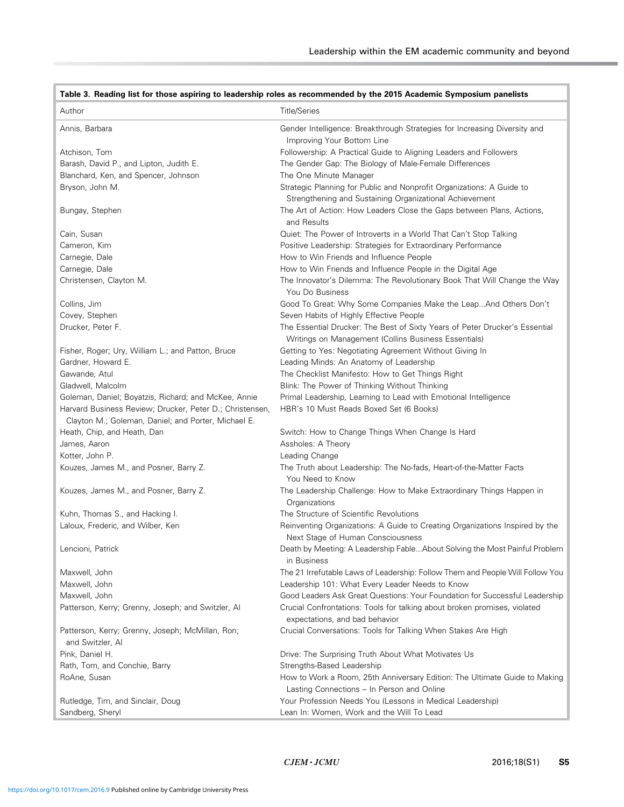| Author                                                   | <b>Title/Series</b>                                                                                                                 |
|----------------------------------------------------------|-------------------------------------------------------------------------------------------------------------------------------------|
| Annis, Barbara                                           | Gender Intelligence: Breakthrough Strategies for Increasing Diversity and                                                           |
|                                                          | Improving Your Bottom Line                                                                                                          |
| Atchison, Tom                                            | Followership: A Practical Guide to Aligning Leaders and Followers                                                                   |
| Barash, David P., and Lipton, Judith E.                  | The Gender Gap: The Biology of Male-Female Differences                                                                              |
| Blanchard, Ken, and Spencer, Johnson                     | The One Minute Manager                                                                                                              |
| Bryson, John M.                                          | Strategic Planning for Public and Nonprofit Organizations: A Guide to                                                               |
|                                                          | Strengthening and Sustaining Organizational Achievement                                                                             |
| Bungay, Stephen                                          | The Art of Action: How Leaders Close the Gaps between Plans, Actions,<br>and Results                                                |
| Cain, Susan                                              | Quiet: The Power of Introverts in a World That Can't Stop Talking                                                                   |
| Cameron, Kim                                             | Positive Leadership: Strategies for Extraordinary Performance                                                                       |
| Carnegie, Dale                                           | How to Win Friends and Influence People                                                                                             |
| Carnegie, Dale                                           | How to Win Friends and Influence People in the Digital Age                                                                          |
| Christensen, Clayton M.                                  | The Innovator's Dilemma: The Revolutionary Book That Will Change the Way<br>You Do Business                                         |
| Collins, Jim                                             | Good To Great: Why Some Companies Make the Leap And Others Don't                                                                    |
| Covey, Stephen                                           | Seven Habits of Highly Effective People                                                                                             |
| Drucker, Peter F.                                        | The Essential Drucker: The Best of Sixty Years of Peter Drucker's Essential<br>Writings on Management (Collins Business Essentials) |
| Fisher, Roger; Ury, William L.; and Patton, Bruce        | Getting to Yes: Negotiating Agreement Without Giving In                                                                             |
| Gardner, Howard E.                                       | Leading Minds: An Anatomy of Leadership                                                                                             |
| Gawande, Atul                                            | The Checklist Manifesto: How to Get Things Right                                                                                    |
| Gladwell, Malcolm                                        | Blink: The Power of Thinking Without Thinking                                                                                       |
| Goleman, Daniel; Boyatzis, Richard; and McKee, Annie     | Primal Leadership, Learning to Lead with Emotional Intelligence                                                                     |
| Harvard Business Review; Drucker, Peter D.; Christensen, | HBR's 10 Must Reads Boxed Set (6 Books)                                                                                             |
| Clayton M.; Goleman, Daniel; and Porter, Michael E.      |                                                                                                                                     |
| Heath, Chip, and Heath, Dan                              | Switch: How to Change Things When Change Is Hard                                                                                    |
| James, Aaron                                             | Assholes: A Theory                                                                                                                  |
| Kotter, John P.                                          | Leading Change                                                                                                                      |
| Kouzes, James M., and Posner, Barry Z.                   | The Truth about Leadership: The No-fads, Heart-of-the-Matter Facts<br>You Need to Know                                              |
| Kouzes, James M., and Posner, Barry Z.                   | The Leadership Challenge: How to Make Extraordinary Things Happen in<br>Organizations                                               |
| Kuhn, Thomas S., and Hacking I.                          | The Structure of Scientific Revolutions                                                                                             |
| Laloux, Frederic, and Wilber, Ken                        | Reinventing Organizations: A Guide to Creating Organizations Inspired by the                                                        |
|                                                          | Next Stage of Human Consciousness                                                                                                   |
| Lencioni, Patrick                                        | Death by Meeting: A Leadership Fable About Solving the Most Painful Problem<br>in Business                                          |
| Maxwell, John                                            | The 21 Irrefutable Laws of Leadership: Follow Them and People Will Follow You                                                       |
| Maxwell, John                                            | Leadership 101: What Every Leader Needs to Know                                                                                     |
| Maxwell, John                                            | Good Leaders Ask Great Questions: Your Foundation for Successful Leadership                                                         |
| Patterson, Kerry; Grenny, Joseph; and Switzler, Al       | Crucial Confrontations: Tools for talking about broken promises, violated<br>expectations, and bad behavior                         |
| Patterson, Kerry; Grenny, Joseph; McMillan, Ron;         | Crucial Conversations: Tools for Talking When Stakes Are High                                                                       |
| and Switzler, Al                                         |                                                                                                                                     |
| Pink, Daniel H.                                          | Drive: The Surprising Truth About What Motivates Us                                                                                 |
| Rath, Tom, and Conchie, Barry                            | Strengths-Based Leadership                                                                                                          |
| RoAne, Susan                                             | How to Work a Room, 25th Anniversary Edition: The Ultimate Guide to Making                                                          |
|                                                          | Lasting Connections - In Person and Online                                                                                          |
| Rutledge, Tim, and Sinclair, Doug                        | Your Profession Needs You (Lessons in Medical Leadership)                                                                           |
| Sandberg, Sheryl                                         | Lean In: Women, Work and the Will To Lead                                                                                           |

# <span id="page-4-0"></span>Table 3. Reading list for those aspiring to leadership roles as recommended by the 2015 Academic Symposium panelists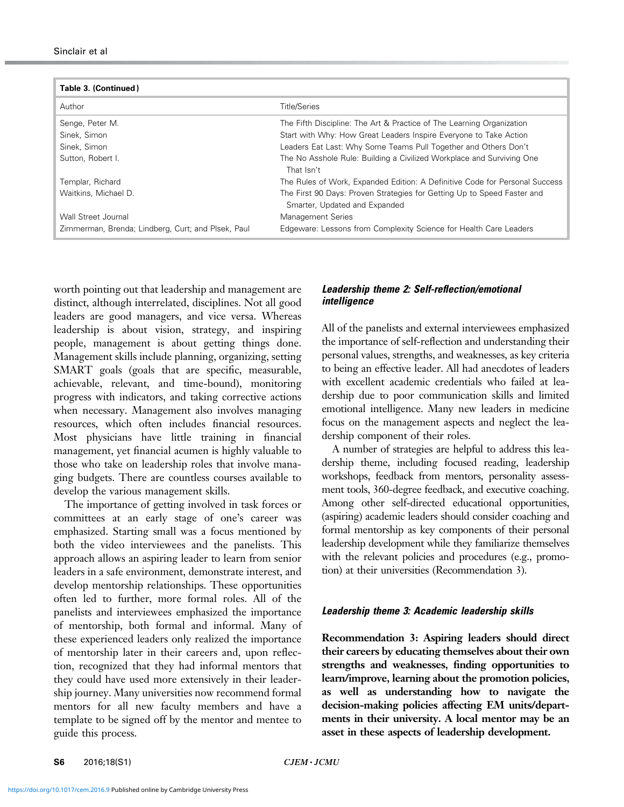| Table 3. (Continued)                               |                                                                                                          |
|----------------------------------------------------|----------------------------------------------------------------------------------------------------------|
| Author                                             | Title/Series                                                                                             |
| Senge, Peter M.                                    | The Fifth Discipline: The Art & Practice of The Learning Organization                                    |
| Sinek, Simon                                       | Start with Why: How Great Leaders Inspire Everyone to Take Action                                        |
| Sinek, Simon                                       | Leaders Eat Last: Why Some Teams Pull Together and Others Don't                                          |
| Sutton, Robert I.                                  | The No Asshole Rule: Building a Civilized Workplace and Surviving One<br>That Isn't                      |
| Templar, Richard                                   | The Rules of Work, Expanded Edition: A Definitive Code for Personal Success                              |
| Waitkins, Michael D.                               | The First 90 Days: Proven Strategies for Getting Up to Speed Faster and<br>Smarter, Updated and Expanded |
| Wall Street Journal                                | Management Series                                                                                        |
| Zimmerman, Brenda; Lindberg, Curt; and Plsek, Paul | Edgeware: Lessons from Complexity Science for Health Care Leaders                                        |

worth pointing out that leadership and management are distinct, although interrelated, disciplines. Not all good leaders are good managers, and vice versa. Whereas leadership is about vision, strategy, and inspiring people, management is about getting things done. Management skills include planning, organizing, setting SMART goals (goals that are specific, measurable, achievable, relevant, and time-bound), monitoring progress with indicators, and taking corrective actions when necessary. Management also involves managing resources, which often includes financial resources. Most physicians have little training in financial management, yet financial acumen is highly valuable to those who take on leadership roles that involve managing budgets. There are countless courses available to develop the various management skills.

The importance of getting involved in task forces or committees at an early stage of one's career was emphasized. Starting small was a focus mentioned by both the video interviewees and the panelists. This approach allows an aspiring leader to learn from senior leaders in a safe environment, demonstrate interest, and develop mentorship relationships. These opportunities often led to further, more formal roles. All of the panelists and interviewees emphasized the importance of mentorship, both formal and informal. Many of these experienced leaders only realized the importance of mentorship later in their careers and, upon reflection, recognized that they had informal mentors that they could have used more extensively in their leadership journey. Many universities now recommend formal mentors for all new faculty members and have a template to be signed off by the mentor and mentee to guide this process.

# Leadership theme 2: Self-reflection/emotional intelligence

All of the panelists and external interviewees emphasized the importance of self-reflection and understanding their personal values, strengths, and weaknesses, as key criteria to being an effective leader. All had anecdotes of leaders with excellent academic credentials who failed at leadership due to poor communication skills and limited emotional intelligence. Many new leaders in medicine focus on the management aspects and neglect the leadership component of their roles.

A number of strategies are helpful to address this leadership theme, including focused reading, leadership workshops, feedback from mentors, personality assessment tools, 360-degree feedback, and executive coaching. Among other self-directed educational opportunities, (aspiring) academic leaders should consider coaching and formal mentorship as key components of their personal leadership development while they familiarize themselves with the relevant policies and procedures (e.g., promotion) at their universities (Recommendation 3).

# Leadership theme 3: Academic leadership skills

Recommendation 3: Aspiring leaders should direct their careers by educating themselves about their own strengths and weaknesses, finding opportunities to learn/improve, learning about the promotion policies, as well as understanding how to navigate the decision-making policies affecting EM units/departments in their university. A local mentor may be an asset in these aspects of leadership development.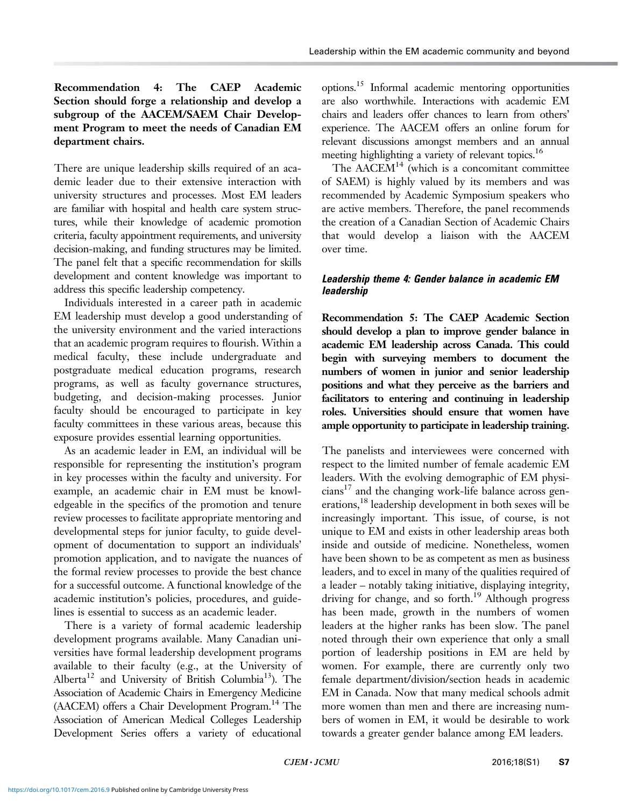# Recommendation 4: The CAEP Academic Section should forge a relationship and develop a subgroup of the AACEM/SAEM Chair Development Program to meet the needs of Canadian EM department chairs.

There are unique leadership skills required of an academic leader due to their extensive interaction with university structures and processes. Most EM leaders are familiar with hospital and health care system structures, while their knowledge of academic promotion criteria, faculty appointment requirements, and university decision-making, and funding structures may be limited. The panel felt that a specific recommendation for skills development and content knowledge was important to address this specific leadership competency.

Individuals interested in a career path in academic EM leadership must develop a good understanding of the university environment and the varied interactions that an academic program requires to flourish. Within a medical faculty, these include undergraduate and postgraduate medical education programs, research programs, as well as faculty governance structures, budgeting, and decision-making processes. Junior faculty should be encouraged to participate in key faculty committees in these various areas, because this exposure provides essential learning opportunities.

As an academic leader in EM, an individual will be responsible for representing the institution's program in key processes within the faculty and university. For example, an academic chair in EM must be knowledgeable in the specifics of the promotion and tenure review processes to facilitate appropriate mentoring and developmental steps for junior faculty, to guide development of documentation to support an individuals' promotion application, and to navigate the nuances of the formal review processes to provide the best chance for a successful outcome. A functional knowledge of the academic institution's policies, procedures, and guidelines is essential to success as an academic leader.

There is a variety of formal academic leadership development programs available. Many Canadian universities have formal leadership development programs available to their faculty (e.g., at the University of Alberta<sup>[12](#page-7-0)</sup> and University of British Columbia<sup>13</sup>). The Association of Academic Chairs in Emergency Medicine (AACEM) offers a Chair Development Program.<sup>14</sup> The Association of American Medical Colleges Leadership Development Series offers a variety of educational options.[15](#page-8-0) Informal academic mentoring opportunities are also worthwhile. Interactions with academic EM chairs and leaders offer chances to learn from others' experience. The AACEM offers an online forum for relevant discussions amongst members and an annual meeting highlighting a variety of relevant topics.<sup>16</sup>

The  $AACEM<sup>14</sup>$  $AACEM<sup>14</sup>$  $AACEM<sup>14</sup>$  (which is a concomitant committee of SAEM) is highly valued by its members and was recommended by Academic Symposium speakers who are active members. Therefore, the panel recommends the creation of a Canadian Section of Academic Chairs that would develop a liaison with the AACEM over time.

# Leadership theme 4: Gender balance in academic EM leadership

Recommendation 5: The CAEP Academic Section should develop a plan to improve gender balance in academic EM leadership across Canada. This could begin with surveying members to document the numbers of women in junior and senior leadership positions and what they perceive as the barriers and facilitators to entering and continuing in leadership roles. Universities should ensure that women have ample opportunity to participate in leadership training.

The panelists and interviewees were concerned with respect to the limited number of female academic EM leaders. With the evolving demographic of EM physi $cians<sup>17</sup>$  and the changing work-life balance across generations[,18](#page-8-0) leadership development in both sexes will be increasingly important. This issue, of course, is not unique to EM and exists in other leadership areas both inside and outside of medicine. Nonetheless, women have been shown to be as competent as men as business leaders, and to excel in many of the qualities required of a leader – notably taking initiative, displaying integrity, driving for change, and so forth.<sup>[19](#page-8-0)</sup> Although progress has been made, growth in the numbers of women leaders at the higher ranks has been slow. The panel noted through their own experience that only a small portion of leadership positions in EM are held by women. For example, there are currently only two female department/division/section heads in academic EM in Canada. Now that many medical schools admit more women than men and there are increasing numbers of women in EM, it would be desirable to work towards a greater gender balance among EM leaders.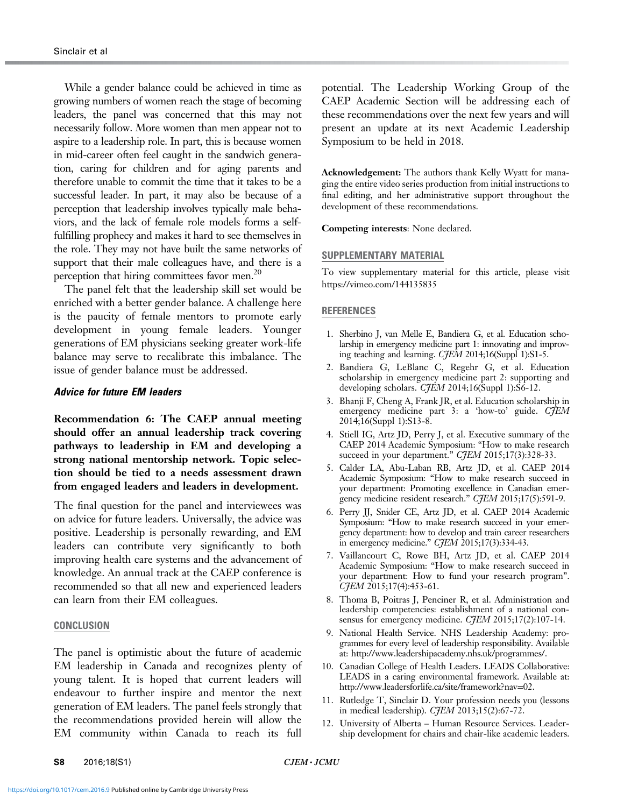<span id="page-7-0"></span>While a gender balance could be achieved in time as growing numbers of women reach the stage of becoming leaders, the panel was concerned that this may not necessarily follow. More women than men appear not to aspire to a leadership role. In part, this is because women in mid-career often feel caught in the sandwich generation, caring for children and for aging parents and therefore unable to commit the time that it takes to be a successful leader. In part, it may also be because of a perception that leadership involves typically male behaviors, and the lack of female role models forms a selffulfilling prophecy and makes it hard to see themselves in the role. They may not have built the same networks of support that their male colleagues have, and there is a perception that hiring committees favor men.<sup>20</sup>

The panel felt that the leadership skill set would be enriched with a better gender balance. A challenge here is the paucity of female mentors to promote early development in young female leaders. Younger generations of EM physicians seeking greater work-life balance may serve to recalibrate this imbalance. The issue of gender balance must be addressed.

#### Advice for future EM leaders

Recommendation 6: The CAEP annual meeting should offer an annual leadership track covering pathways to leadership in EM and developing a strong national mentorship network. Topic selection should be tied to a needs assessment drawn from engaged leaders and leaders in development.

The final question for the panel and interviewees was on advice for future leaders. Universally, the advice was positive. Leadership is personally rewarding, and EM leaders can contribute very significantly to both improving health care systems and the advancement of knowledge. An annual track at the CAEP conference is recommended so that all new and experienced leaders can learn from their EM colleagues.

#### **CONCLUSION**

The panel is optimistic about the future of academic EM leadership in Canada and recognizes plenty of young talent. It is hoped that current leaders will endeavour to further inspire and mentor the next generation of EM leaders. The panel feels strongly that the recommendations provided herein will allow the EM community within Canada to reach its full potential. The Leadership Working Group of the CAEP Academic Section will be addressing each of these recommendations over the next few years and will present an update at its next Academic Leadership Symposium to be held in 2018.

Acknowledgement: The authors thank Kelly Wyatt for managing the entire video series production from initial instructions to final editing, and her administrative support throughout the development of these recommendations.

Competing interests: None declared.

#### SUPPLEMENTARY MATERIAL

To view supplementary material for this article, please visit <https://vimeo.com/144135835>

#### REFERENCES

- 1. Sherbino J, van Melle E, Bandiera G, et al. Education scholarship in emergency medicine part 1: innovating and improving teaching and learning. C*JEM* 2014;16(Suppl 1):S1-5.
- 2. Bandiera G, LeBlanc C, Regehr G, et al. Education scholarship in emergency medicine part 2: supporting and developing scholars. CJEM 2014;16(Suppl 1):S6-12.
- 3. Bhanji F, Cheng A, Frank JR, et al. Education scholarship in emergency medicine part 3: a 'how-to' guide.  $C\bar{\mathcal{F}}EM$ 2014;16(Suppl 1):S13-8.
- 4. Stiell IG, Artz JD, Perry J, et al. Executive summary of the CAEP 2014 Academic Symposium: "How to make research succeed in your department." CJEM 2015;17(3):328-33.
- 5. Calder LA, Abu-Laban RB, Artz JD, et al. CAEP 2014 Academic Symposium: "How to make research succeed in your department: Promoting excellence in Canadian emergency medicine resident research." CJEM 2015;17(5):591-9.
- 6. Perry JJ, Snider CE, Artz JD, et al. CAEP 2014 Academic Symposium: "How to make research succeed in your emergency department: how to develop and train career researchers in emergency medicine." CJEM 2015;17(3):334-43.
- 7. Vaillancourt C, Rowe BH, Artz JD, et al. CAEP 2014 Academic Symposium: "How to make research succeed in your department: How to fund your research program". CJEM 2015;17(4):453-61.
- 8. Thoma B, Poitras J, Penciner R, et al. Administration and leadership competencies: establishment of a national consensus for emergency medicine. CJEM 2015;17(2):107-14.
- 9. National Health Service. NHS Leadership Academy: programmes for every level of leadership responsibility. Available at: [http://www.leadershipacademy.nhs.uk/programmes/.](http://www.leadershipacademy.nhs.uk/programmes/)
- 10. Canadian College of Health Leaders. LEADS Collaborative: LEADS in a caring environmental framework. Available at: [http://www.leadersforlife.ca/site/framework?nav](http://www.leadersforlife.ca/site/framework?nav=02)=02.
- 11. Rutledge T, Sinclair D. Your profession needs you (lessons in medical leadership).  $CJEM$  2013;15(2):67-72.
- 12. University of Alberta Human Resource Services. Leadership development for chairs and chair-like academic leaders.